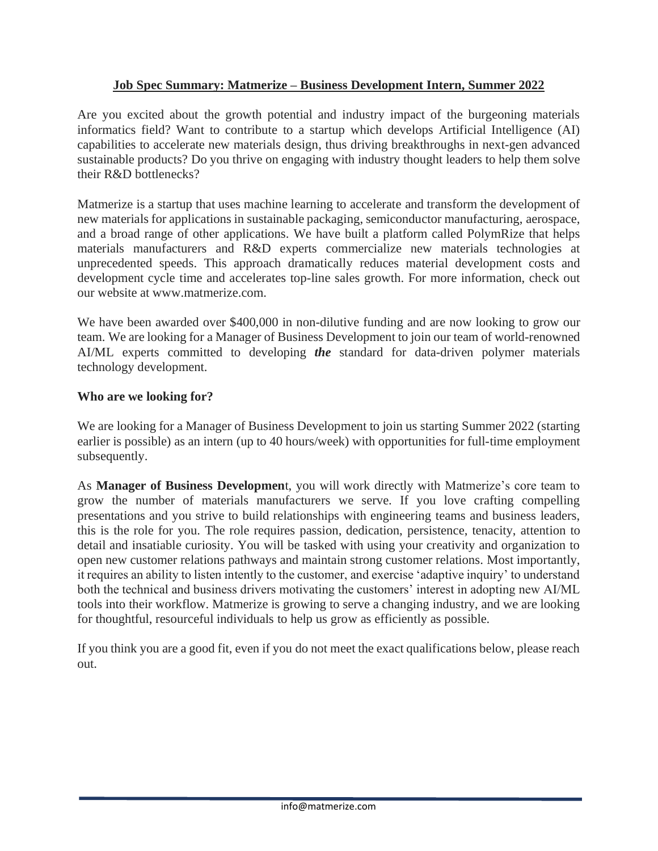## **Job Spec Summary: Matmerize – Business Development Intern, Summer 2022**

Are you excited about the growth potential and industry impact of the burgeoning materials informatics field? Want to contribute to a startup which develops Artificial Intelligence (AI) capabilities to accelerate new materials design, thus driving breakthroughs in next-gen advanced sustainable products? Do you thrive on engaging with industry thought leaders to help them solve their R&D bottlenecks?

Matmerize is a startup that uses machine learning to accelerate and transform the development of new materials for applications in sustainable packaging, semiconductor manufacturing, aerospace, and a broad range of other applications. We have built a platform called PolymRize that helps materials manufacturers and R&D experts commercialize new materials technologies at unprecedented speeds. This approach dramatically reduces material development costs and development cycle time and accelerates top-line sales growth. For more information, check out our website at www.matmerize.com.

We have been awarded over \$400,000 in non-dilutive funding and are now looking to grow our team. We are looking for a Manager of Business Development to join our team of world-renowned AI/ML experts committed to developing *the* standard for data-driven polymer materials technology development.

## **Who are we looking for?**

We are looking for a Manager of Business Development to join us starting Summer 2022 (starting earlier is possible) as an intern (up to 40 hours/week) with opportunities for full-time employment subsequently.

As **Manager of Business Developmen**t, you will work directly with Matmerize's core team to grow the number of materials manufacturers we serve. If you love crafting compelling presentations and you strive to build relationships with engineering teams and business leaders, this is the role for you. The role requires passion, dedication, persistence, tenacity, attention to detail and insatiable curiosity. You will be tasked with using your creativity and organization to open new customer relations pathways and maintain strong customer relations. Most importantly, it requires an ability to listen intently to the customer, and exercise 'adaptive inquiry' to understand both the technical and business drivers motivating the customers' interest in adopting new AI/ML tools into their workflow. Matmerize is growing to serve a changing industry, and we are looking for thoughtful, resourceful individuals to help us grow as efficiently as possible.

If you think you are a good fit, even if you do not meet the exact qualifications below, please reach out.